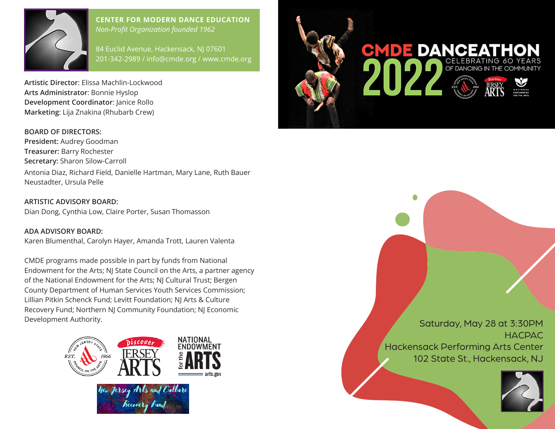

#### **CENTER FOR MODERN DANCE EDUCATION** *Non-Profit Organization founded 1962*

84 Euclid Avenue, Hackensack, NJ 07601 201-342-2989 / info@cmde.org / www.cmde.org

**Artistic Director**: Elissa Machlin-Lockwood **Arts Administrator**: Bonnie Hyslop **Development Coordinator**: Janice Rollo **Marketing**: Lija Znakina (Rhubarb Crew)

#### **BOARD OF DIRECTORS:**

**President:** Audrey Goodman **Treasurer:** Barry Rochester **Secretary:** Sharon Silow-Carroll Antonia Diaz, Richard Field, Danielle Hartman, Mary Lane, Ruth Bauer Neustadter, Ursula Pelle

**ARTISTIC ADVISORY BOARD:**  Dian Dong, Cynthia Low, Claire Porter, Susan Thomasson

**ADA ADVISORY BOARD:** Karen Blumenthal, Carolyn Hayer, Amanda Trott, Lauren Valenta

CMDE programs made possible in part by funds from National Endowment for the Arts; NJ State Council on the Arts, a partner agency of the National Endowment for the Arts; NJ Cultural Trust; Bergen County Department of Human Services Youth Services Commission; Lillian Pitkin Schenck Fund; Levitt Foundation; NJ Arts & Culture Recovery Fund; Northern NJ Community Foundation; NJ Economic Development Authority. The Saturday, May 28 at 3:30PM





**HACPAC** Hackensack Performing Arts Center 102 State St., Hackensack, NJ